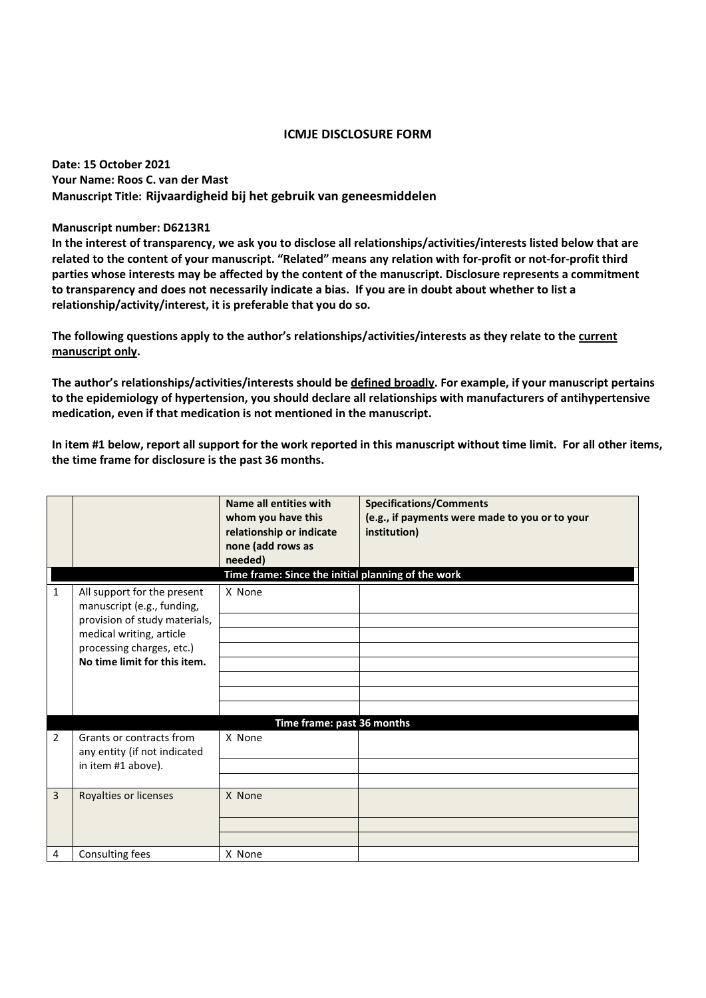## **ICMJE DISCLOSURE FORM**

**Date: 15 October 2021 Your Name: Roos C. van der Mast Manuscript Title: Rijvaardigheid bij het gebruik van geneesmiddelen**

**Manuscript number: D6213R1** 

**In the interest of transparency, we ask you to disclose all relationships/activities/interests listed below that are related to the content of your manuscript. "Related" means any relation with for-profit or not-for-profit third parties whose interests may be affected by the content of the manuscript. Disclosure represents a commitment to transparency and does not necessarily indicate a bias. If you are in doubt about whether to list a relationship/activity/interest, it is preferable that you do so.** 

**The following questions apply to the author's relationships/activities/interests as they relate to the current manuscript only.** 

**The author's relationships/activities/interests should be defined broadly. For example, if your manuscript pertains to the epidemiology of hypertension, you should declare all relationships with manufacturers of antihypertensive medication, even if that medication is not mentioned in the manuscript.** 

**In item #1 below, report all support for the work reported in this manuscript without time limit. For all other items, the time frame for disclosure is the past 36 months.** 

|                |                                                                                                                                                                                     | Name all entities with<br>whom you have this<br>relationship or indicate<br>none (add rows as<br>needed) | <b>Specifications/Comments</b><br>(e.g., if payments were made to you or to your<br>institution) |  |  |
|----------------|-------------------------------------------------------------------------------------------------------------------------------------------------------------------------------------|----------------------------------------------------------------------------------------------------------|--------------------------------------------------------------------------------------------------|--|--|
|                | Time frame: Since the initial planning of the work                                                                                                                                  |                                                                                                          |                                                                                                  |  |  |
| 1              | All support for the present<br>manuscript (e.g., funding,<br>provision of study materials,<br>medical writing, article<br>processing charges, etc.)<br>No time limit for this item. | X None                                                                                                   |                                                                                                  |  |  |
|                |                                                                                                                                                                                     | Time frame: past 36 months                                                                               |                                                                                                  |  |  |
| $\overline{2}$ | Grants or contracts from<br>any entity (if not indicated<br>in item #1 above).                                                                                                      | X None                                                                                                   |                                                                                                  |  |  |
| 3              | Royalties or licenses                                                                                                                                                               | X None                                                                                                   |                                                                                                  |  |  |
| 4              | Consulting fees                                                                                                                                                                     | X None                                                                                                   |                                                                                                  |  |  |